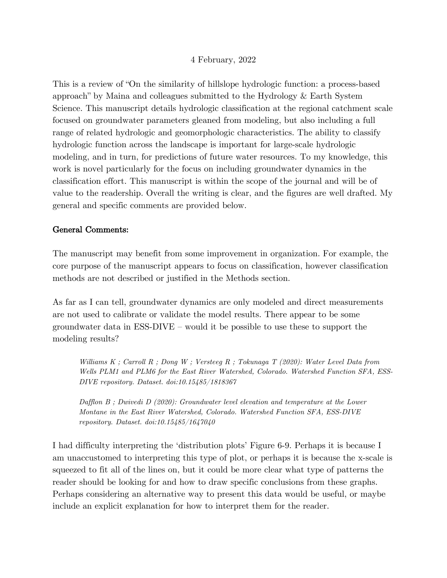## 4 February, 2022

This is a review of "On the similarity of hillslope hydrologic function: a process-based approach" by Maina and colleagues submitted to the Hydrology & Earth System Science. This manuscript details hydrologic classification at the regional catchment scale focused on groundwater parameters gleaned from modeling, but also including a full range of related hydrologic and geomorphologic characteristics. The ability to classify hydrologic function across the landscape is important for large-scale hydrologic modeling, and in turn, for predictions of future water resources. To my knowledge, this work is novel particularly for the focus on including groundwater dynamics in the classification effort. This manuscript is within the scope of the journal and will be of value to the readership. Overall the writing is clear, and the figures are well drafted. My general and specific comments are provided below.

## General Comments:

The manuscript may benefit from some improvement in organization. For example, the core purpose of the manuscript appears to focus on classification, however classification methods are not described or justified in the Methods section.

As far as I can tell, groundwater dynamics are only modeled and direct measurements are not used to calibrate or validate the model results. There appear to be some groundwater data in ESS-DIVE – would it be possible to use these to support the modeling results?

*Williams K ; Carroll R ; Dong W ; Versteeg R ; Tokunaga T (2020): Water Level Data from Wells PLM1 and PLM6 for the East River Watershed, Colorado. Watershed Function SFA, ESS-DIVE repository. Dataset. doi:10.15485/1818367*

*Dafflon B ; Dwivedi D (2020): Groundwater level elevation and temperature at the Lower Montane in the East River Watershed, Colorado. Watershed Function SFA, ESS-DIVE repository. Dataset. doi:10.15485/1647040*

I had difficulty interpreting the 'distribution plots' Figure 6-9. Perhaps it is because I am unaccustomed to interpreting this type of plot, or perhaps it is because the x-scale is squeezed to fit all of the lines on, but it could be more clear what type of patterns the reader should be looking for and how to draw specific conclusions from these graphs. Perhaps considering an alternative way to present this data would be useful, or maybe include an explicit explanation for how to interpret them for the reader.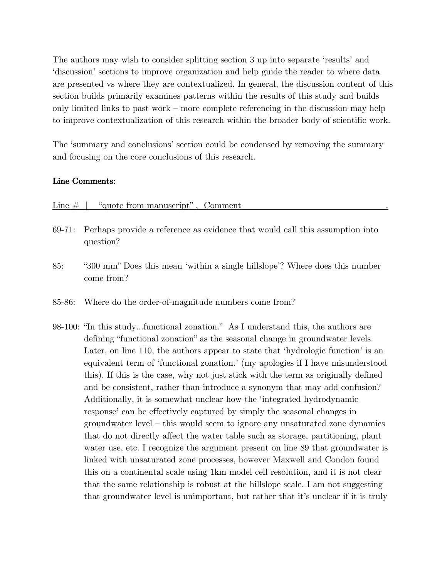The authors may wish to consider splitting section 3 up into separate 'results' and 'discussion' sections to improve organization and help guide the reader to where data are presented vs where they are contextualized. In general, the discussion content of this section builds primarily examines patterns within the results of this study and builds only limited links to past work – more complete referencing in the discussion may help to improve contextualization of this research within the broader body of scientific work.

The 'summary and conclusions' section could be condensed by removing the summary and focusing on the core conclusions of this research.

## Line Comments:

| Line $#$   | "quote from manuscript", Comment                                                                                                                                                                                                                                                                                                        |
|------------|-----------------------------------------------------------------------------------------------------------------------------------------------------------------------------------------------------------------------------------------------------------------------------------------------------------------------------------------|
| 69-71:     | Perhaps provide a reference as evidence that would call this assumption into<br>question?                                                                                                                                                                                                                                               |
| 85:        | "300 mm" Does this mean 'within a single hillslope'? Where does this number<br>come from?                                                                                                                                                                                                                                               |
| $85 - 86:$ | Where do the order-of-magnitude numbers come from?                                                                                                                                                                                                                                                                                      |
|            | 98-100: "In this studyfunctional zonation." As I understand this, the authors are<br>defining "functional zonation" as the seasonal change in groundwater levels.<br>Later, on line 110, the authors appear to state that 'hydrologic function' is an<br>equivalent term of 'functional zonation' (my apologies if I have misunderstood |

t term of 'functional zonation.' (my apologies if I hav this). If this is the case, why not just stick with the term as originally defined and be consistent, rather than introduce a synonym that may add confusion? Additionally, it is somewhat unclear how the 'integrated hydrodynamic response' can be effectively captured by simply the seasonal changes in groundwater level – this would seem to ignore any unsaturated zone dynamics that do not directly affect the water table such as storage, partitioning, plant water use, etc. I recognize the argument present on line 89 that groundwater is linked with unsaturated zone processes, however Maxwell and Condon found this on a continental scale using 1km model cell resolution, and it is not clear that the same relationship is robust at the hillslope scale. I am not suggesting that groundwater level is unimportant, but rather that it's unclear if it is truly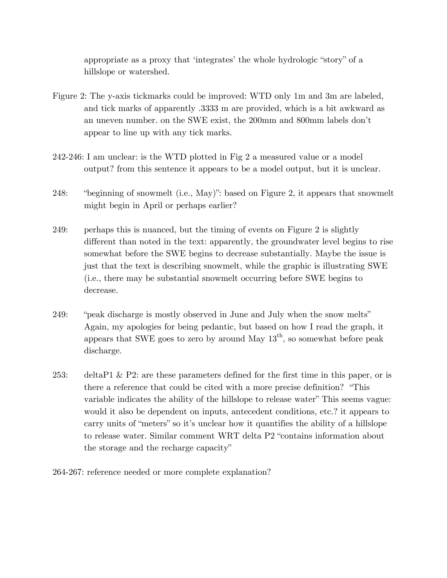appropriate as a proxy that 'integrates' the whole hydrologic "story" of a hillslope or watershed.

- Figure 2: The y-axis tickmarks could be improved: WTD only 1m and 3m are labeled, and tick marks of apparently .3333 m are provided, which is a bit awkward as an uneven number. on the SWE exist, the 200mm and 800mm labels don't appear to line up with any tick marks.
- 242-246: I am unclear: is the WTD plotted in Fig 2 a measured value or a model output? from this sentence it appears to be a model output, but it is unclear.
- 248: "beginning of snowmelt (i.e., May)": based on Figure 2, it appears that snowmelt might begin in April or perhaps earlier?
- 249: perhaps this is nuanced, but the timing of events on Figure 2 is slightly different than noted in the text: apparently, the groundwater level begins to rise somewhat before the SWE begins to decrease substantially. Maybe the issue is just that the text is describing snowmelt, while the graphic is illustrating SWE (i.e., there may be substantial snowmelt occurring before SWE begins to decrease.
- 249: "peak discharge is mostly observed in June and July when the snow melts" Again, my apologies for being pedantic, but based on how I read the graph, it appears that SWE goes to zero by around May  $13<sup>th</sup>$ , so somewhat before peak discharge.
- 253: deltaP1 & P2: are these parameters defined for the first time in this paper, or is there a reference that could be cited with a more precise definition? "This variable indicates the ability of the hillslope to release water" This seems vague: would it also be dependent on inputs, antecedent conditions, etc.? it appears to carry units of "meters" so it's unclear how it quantifies the ability of a hillslope to release water. Similar comment WRT delta P2 "contains information about the storage and the recharge capacity"

264-267: reference needed or more complete explanation?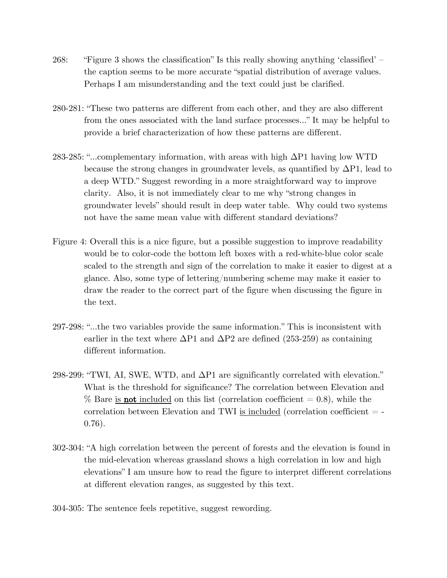- 268: "Figure 3 shows the classification" Is this really showing anything 'classified' the caption seems to be more accurate "spatial distribution of average values. Perhaps I am misunderstanding and the text could just be clarified.
- 280-281: "These two patterns are different from each other, and they are also different from the ones associated with the land surface processes…" It may be helpful to provide a brief characterization of how these patterns are different.
- 283-285: "…complementary information, with areas with high ΔP1 having low WTD because the strong changes in groundwater levels, as quantified by  $\Delta P1$ , lead to a deep WTD." Suggest rewording in a more straightforward way to improve clarity. Also, it is not immediately clear to me why "strong changes in groundwater levels" should result in deep water table. Why could two systems not have the same mean value with different standard deviations?
- Figure 4: Overall this is a nice figure, but a possible suggestion to improve readability would be to color-code the bottom left boxes with a red-white-blue color scale scaled to the strength and sign of the correlation to make it easier to digest at a glance. Also, some type of lettering/numbering scheme may make it easier to draw the reader to the correct part of the figure when discussing the figure in the text.
- 297-298: "…the two variables provide the same information." This is inconsistent with earlier in the text where  $\Delta P1$  and  $\Delta P2$  are defined (253-259) as containing different information.
- 298-299: "TWI, AI, SWE, WTD, and ΔP1 are significantly correlated with elevation." What is the threshold for significance? The correlation between Elevation and  $\%$  Bare is **not** included on this list (correlation coefficient  $= 0.8$ ), while the correlation between Elevation and TWI is included (correlation coefficient  $=$   $-$ 0.76).
- 302-304: "A high correlation between the percent of forests and the elevation is found in the mid-elevation whereas grassland shows a high correlation in low and high elevations" I am unsure how to read the figure to interpret different correlations at different elevation ranges, as suggested by this text.
- 304-305: The sentence feels repetitive, suggest rewording.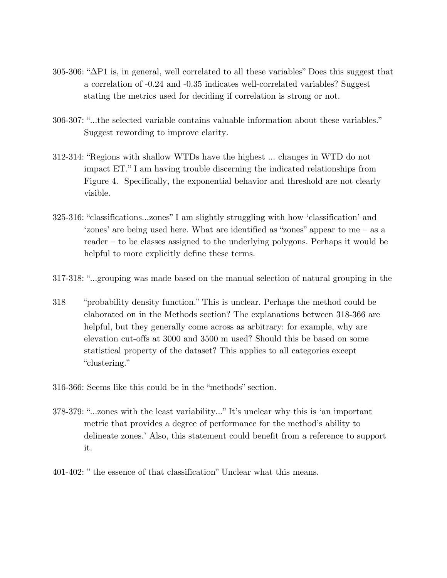- 305-306: "ΔP1 is, in general, well correlated to all these variables" Does this suggest that a correlation of -0.24 and -0.35 indicates well-correlated variables? Suggest stating the metrics used for deciding if correlation is strong or not.
- 306-307: "…the selected variable contains valuable information about these variables." Suggest rewording to improve clarity.
- 312-314: "Regions with shallow WTDs have the highest … changes in WTD do not impact ET." I am having trouble discerning the indicated relationships from Figure 4. Specifically, the exponential behavior and threshold are not clearly visible.
- 325-316: "classifications…zones" I am slightly struggling with how 'classification' and 'zones' are being used here. What are identified as "zones" appear to me – as a reader – to be classes assigned to the underlying polygons. Perhaps it would be helpful to more explicitly define these terms.
- 317-318: "…grouping was made based on the manual selection of natural grouping in the
- 318 "probability density function." This is unclear. Perhaps the method could be elaborated on in the Methods section? The explanations between 318-366 are helpful, but they generally come across as arbitrary: for example, why are elevation cut-offs at 3000 and 3500 m used? Should this be based on some statistical property of the dataset? This applies to all categories except "clustering."
- 316-366: Seems like this could be in the "methods" section.
- 378-379: "…zones with the least variability…" It's unclear why this is 'an important metric that provides a degree of performance for the method's ability to delineate zones.' Also, this statement could benefit from a reference to support it.
- 401-402: " the essence of that classification" Unclear what this means.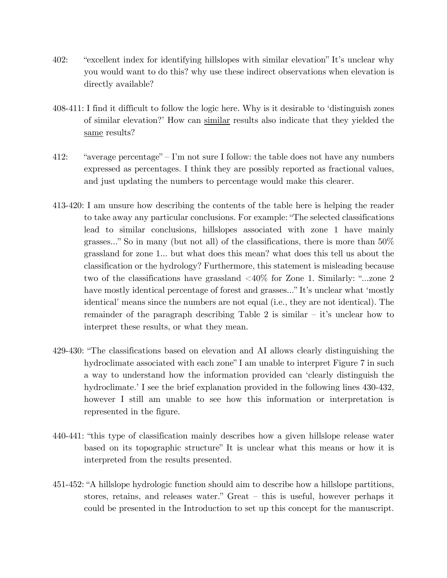- 402: "excellent index for identifying hillslopes with similar elevation" It's unclear why you would want to do this? why use these indirect observations when elevation is directly available?
- 408-411: I find it difficult to follow the logic here. Why is it desirable to 'distinguish zones of similar elevation?' How can similar results also indicate that they yielded the same results?
- 412: "average percentage" I'm not sure I follow: the table does not have any numbers expressed as percentages. I think they are possibly reported as fractional values, and just updating the numbers to percentage would make this clearer.
- 413-420: I am unsure how describing the contents of the table here is helping the reader to take away any particular conclusions. For example: "The selected classifications lead to similar conclusions, hillslopes associated with zone 1 have mainly grasses…" So in many (but not all) of the classifications, there is more than 50% grassland for zone 1… but what does this mean? what does this tell us about the classification or the hydrology? Furthermore, this statement is misleading because two of the classifications have grassland <40% for Zone 1. Similarly: "…zone 2 have mostly identical percentage of forest and grasses…" It's unclear what 'mostly identical' means since the numbers are not equal (i.e., they are not identical). The remainder of the paragraph describing Table 2 is similar – it's unclear how to interpret these results, or what they mean.
- 429-430: "The classifications based on elevation and AI allows clearly distinguishing the hydroclimate associated with each zone" I am unable to interpret Figure 7 in such a way to understand how the information provided can 'clearly distinguish the hydroclimate.' I see the brief explanation provided in the following lines 430-432, however I still am unable to see how this information or interpretation is represented in the figure.
- 440-441: "this type of classification mainly describes how a given hillslope release water based on its topographic structure" It is unclear what this means or how it is interpreted from the results presented.
- 451-452: "A hillslope hydrologic function should aim to describe how a hillslope partitions, stores, retains, and releases water." Great – this is useful, however perhaps it could be presented in the Introduction to set up this concept for the manuscript.